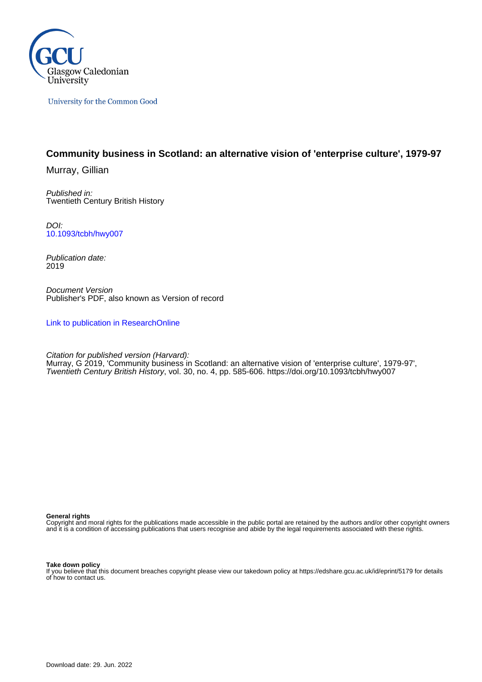

University for the Common Good

## **Community business in Scotland: an alternative vision of 'enterprise culture', 1979-97**

Murray, Gillian

Published in: Twentieth Century British History

DOI: [10.1093/tcbh/hwy007](https://doi.org/10.1093/tcbh/hwy007)

Publication date: 2019

Document Version Publisher's PDF, also known as Version of record

[Link to publication in ResearchOnline](https://researchonline.gcu.ac.uk/en/publications/9f4e8a69-a4e1-4c1f-a12f-ea6f0129f2c3)

Citation for published version (Harvard):

Murray, G 2019, 'Community business in Scotland: an alternative vision of 'enterprise culture', 1979-97', Twentieth Century British History, vol. 30, no. 4, pp. 585-606. <https://doi.org/10.1093/tcbh/hwy007>

**General rights**

Copyright and moral rights for the publications made accessible in the public portal are retained by the authors and/or other copyright owners and it is a condition of accessing publications that users recognise and abide by the legal requirements associated with these rights.

**Take down policy**

If you believe that this document breaches copyright please view our takedown policy at https://edshare.gcu.ac.uk/id/eprint/5179 for details of how to contact us.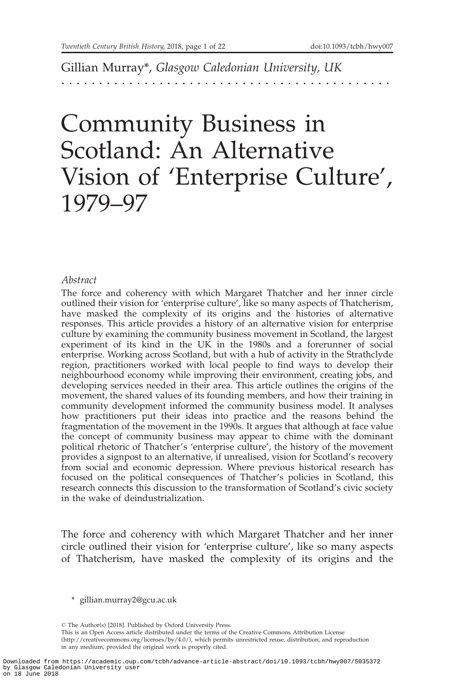Gillian Murray\*, Glasgow Caledonian University, UK ............................................

# Community Business in Scotland: An Alternative Vision of 'Enterprise Culture', 1979–97

#### Abstract

The force and coherency with which Margaret Thatcher and her inner circle outlined their vision for 'enterprise culture', like so many aspects of Thatcherism, have masked the complexity of its origins and the histories of alternative responses. This article provides a history of an alternative vision for enterprise culture by examining the community business movement in Scotland, the largest experiment of its kind in the UK in the 1980s and a forerunner of social enterprise. Working across Scotland, but with a hub of activity in the Strathclyde region, practitioners worked with local people to find ways to develop their neighbourhood economy while improving their environment, creating jobs, and developing services needed in their area. This article outlines the origins of the movement, the shared values of its founding members, and how their training in community development informed the community business model. It analyses how practitioners put their ideas into practice and the reasons behind the fragmentation of the movement in the 1990s. It argues that although at face value the concept of community business may appear to chime with the dominant political rhetoric of Thatcher's 'enterprise culture', the history of the movement provides a signpost to an alternative, if unrealised, vision for Scotland's recovery from social and economic depression. Where previous historical research has focused on the political consequences of Thatcher's policies in Scotland, this research connects this discussion to the transformation of Scotland's civic society in the wake of deindustrialization.

The force and coherency with which Margaret Thatcher and her inner circle outlined their vision for 'enterprise culture', like so many aspects of Thatcherism, have masked the complexity of its origins and the

<sup>\*</sup> gillian.murray2@gcu.ac.uk

<sup>©</sup> The Author(s) [2018]. Published by Oxford University Press. This is an Open Access article distributed under the terms of the Creative Commons Attribution License ([http://creativecommons.org/licenses/by/4.0/\)](XPath error Undefined namespace prefix), which permits unrestricted reuse, distribution, and reproduction in any medium, provided the original work is properly cited.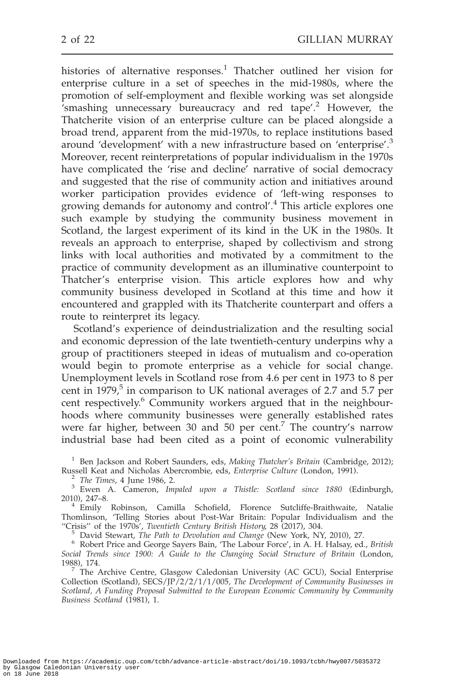histories of alternative responses.<sup>1</sup> Thatcher outlined her vision for enterprise culture in a set of speeches in the mid-1980s, where the promotion of self-employment and flexible working was set alongside 'smashing unnecessary bureaucracy and red tape'.<sup>2</sup> However, the Thatcherite vision of an enterprise culture can be placed alongside a broad trend, apparent from the mid-1970s, to replace institutions based around 'development' with a new infrastructure based on 'enterprise'.<sup>3</sup> Moreover, recent reinterpretations of popular individualism in the 1970s have complicated the 'rise and decline' narrative of social democracy and suggested that the rise of community action and initiatives around worker participation provides evidence of 'left-wing responses to growing demands for autonomy and control'.<sup>4</sup> This article explores one such example by studying the community business movement in Scotland, the largest experiment of its kind in the UK in the 1980s. It reveals an approach to enterprise, shaped by collectivism and strong links with local authorities and motivated by a commitment to the practice of community development as an illuminative counterpoint to Thatcher's enterprise vision. This article explores how and why community business developed in Scotland at this time and how it encountered and grappled with its Thatcherite counterpart and offers a route to reinterpret its legacy.

Scotland's experience of deindustrialization and the resulting social and economic depression of the late twentieth-century underpins why a group of practitioners steeped in ideas of mutualism and co-operation would begin to promote enterprise as a vehicle for social change. Unemployment levels in Scotland rose from 4.6 per cent in 1973 to 8 per cent in 1979, $5$  in comparison to UK national averages of 2.7 and 5.7 per cent respectively.<sup>6</sup> Community workers argued that in the neighbourhoods where community businesses were generally established rates were far higher, between 30 and 50 per cent.<sup>7</sup> The country's narrow industrial base had been cited as a point of economic vulnerability

<sup>1</sup> Ben Jackson and Robert Saunders, eds, *Making Thatcher's Britain* (Cambridge, 2012); Russell Keat and Nicholas Abercrombie, eds, *Enterprise Culture* (London, 1991).

<sup>2</sup> The Times, 4 June 1986, 2.<br><sup>3</sup> Ewen A. Cameron, *Impaled upon a Thistle: Scotland since 1880* (Edinburgh, 2010), 247–8.

<sup>4</sup> Emily Robinson, Camilla Schofield, Florence Sutcliffe-Braithwaite, Natalie Thomlinson, 'Telling Stories about Post-War Britain: Popular Individualism and the

<sup>5</sup> David Stewart, *The Path to Devolution and Change* (New York, NY, 2010), 27.<br><sup>6</sup> Robert Price and George Sayers Bain, 'The Labour Force', in A. H. Halsay, ed., *British* Social Trends since 1900: A Guide to the Changing Social Structure of Britain (London, 1988), 174.

 $7$  The Archive Centre, Glasgow Caledonian University (AC GCU), Social Enterprise Collection (Scotland), SECS/JP/2/2/1/1/005, The Development of Community Businesses in Scotland, A Funding Proposal Submitted to the European Economic Community by Community Business Scotland (1981), 1.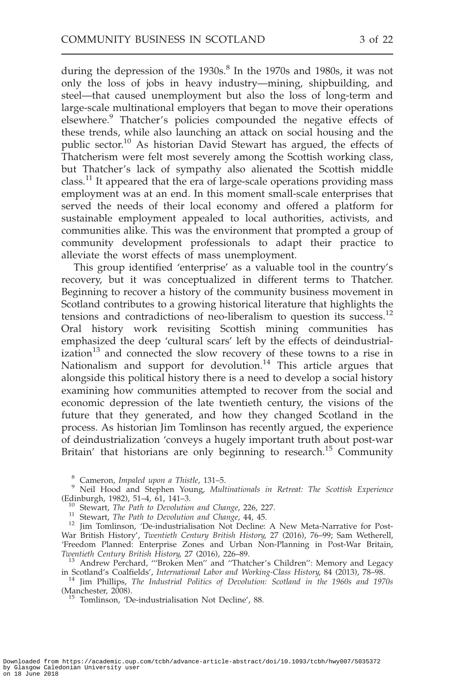during the depression of the 1930s.<sup>8</sup> In the 1970s and 1980s, it was not only the loss of jobs in heavy industry—mining, shipbuilding, and steel—that caused unemployment but also the loss of long-term and large-scale multinational employers that began to move their operations elsewhere.<sup>9</sup> Thatcher's policies compounded the negative effects of these trends, while also launching an attack on social housing and the public sector.<sup>10</sup> As historian David Stewart has argued, the effects of Thatcherism were felt most severely among the Scottish working class, but Thatcher's lack of sympathy also alienated the Scottish middle class.<sup>11</sup> It appeared that the era of large-scale operations providing mass employment was at an end. In this moment small-scale enterprises that served the needs of their local economy and offered a platform for sustainable employment appealed to local authorities, activists, and communities alike. This was the environment that prompted a group of community development professionals to adapt their practice to alleviate the worst effects of mass unemployment.

This group identified 'enterprise' as a valuable tool in the country's recovery, but it was conceptualized in different terms to Thatcher. Beginning to recover a history of the community business movement in Scotland contributes to a growing historical literature that highlights the tensions and contradictions of neo-liberalism to question its success.<sup>12</sup> Oral history work revisiting Scottish mining communities has emphasized the deep 'cultural scars' left by the effects of deindustrialization<sup>13</sup> and connected the slow recovery of these towns to a rise in Nationalism and support for devolution.<sup>14</sup> This article argues that alongside this political history there is a need to develop a social history examining how communities attempted to recover from the social and economic depression of the late twentieth century, the visions of the future that they generated, and how they changed Scotland in the process. As historian Jim Tomlinson has recently argued, the experience of deindustrialization 'conveys a hugely important truth about post-war Britain' that historians are only beginning to research.<sup>15</sup> Community

<sup>8</sup> Cameron, *Impaled upon a Thistle*, 131–5.<br><sup>9</sup> Neil Hood and Stephen Young, *Multinationals in Retreat: The Scottish Experience*<br>(Edinburgh, 1982), 51–4, 61, 141–3.

<sup>10</sup> Stewart, *The Path to Devolution and Change*, 226, 227.<br><sup>11</sup> Stewart, *The Path to Devolution and Change*, 44, 45.<br><sup>12</sup> Jim Tomlinson, 'De-industrialisation Not Decline: A New Meta-Narrative for Post-War British History', Twentieth Century British History, 27 (2016), 76–99; Sam Wetherell, 'Freedom Planned: Enterprise Zones and Urban Non-Planning in Post-War Britain,

Twentieth Century British History, 27 (2016), 226–89.<br><sup>13</sup> Andrew Perchard, '''Broken Men'' and ''Thatcher's Children'': Memory and Legacy<br>in Scotland's Coalfields', International Labor and Working-Class History, 84 (2013)

 $\frac{14}{1}$  Jim Phillips, *The Industrial Politics of Devolution: Scotland in the 1960s and 1970s* (Manchester, 2008).

<sup>15</sup> Tomlinson, 'De-industrialisation Not Decline', 88.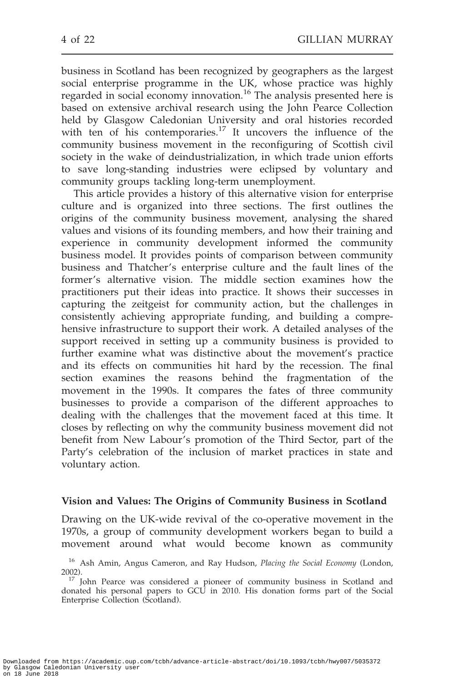business in Scotland has been recognized by geographers as the largest social enterprise programme in the UK, whose practice was highly regarded in social economy innovation.<sup>16</sup> The analysis presented here is based on extensive archival research using the John Pearce Collection held by Glasgow Caledonian University and oral histories recorded with ten of his contemporaries.<sup>17</sup> It uncovers the influence of the community business movement in the reconfiguring of Scottish civil society in the wake of deindustrialization, in which trade union efforts to save long-standing industries were eclipsed by voluntary and community groups tackling long-term unemployment.

This article provides a history of this alternative vision for enterprise culture and is organized into three sections. The first outlines the origins of the community business movement, analysing the shared values and visions of its founding members, and how their training and experience in community development informed the community business model. It provides points of comparison between community business and Thatcher's enterprise culture and the fault lines of the former's alternative vision. The middle section examines how the practitioners put their ideas into practice. It shows their successes in capturing the zeitgeist for community action, but the challenges in consistently achieving appropriate funding, and building a comprehensive infrastructure to support their work. A detailed analyses of the support received in setting up a community business is provided to further examine what was distinctive about the movement's practice and its effects on communities hit hard by the recession. The final section examines the reasons behind the fragmentation of the movement in the 1990s. It compares the fates of three community businesses to provide a comparison of the different approaches to dealing with the challenges that the movement faced at this time. It closes by reflecting on why the community business movement did not benefit from New Labour's promotion of the Third Sector, part of the Party's celebration of the inclusion of market practices in state and voluntary action.

#### Vision and Values: The Origins of Community Business in Scotland

Drawing on the UK-wide revival of the co-operative movement in the 1970s, a group of community development workers began to build a movement around what would become known as community

<sup>&</sup>lt;sup>16</sup> Ash Amin, Angus Cameron, and Ray Hudson, *Placing the Social Economy* (London, 2002).

 $<sup>7</sup>$  John Pearce was considered a pioneer of community business in Scotland and</sup> donated his personal papers to GCU in 2010. His donation forms part of the Social Enterprise Collection (Scotland).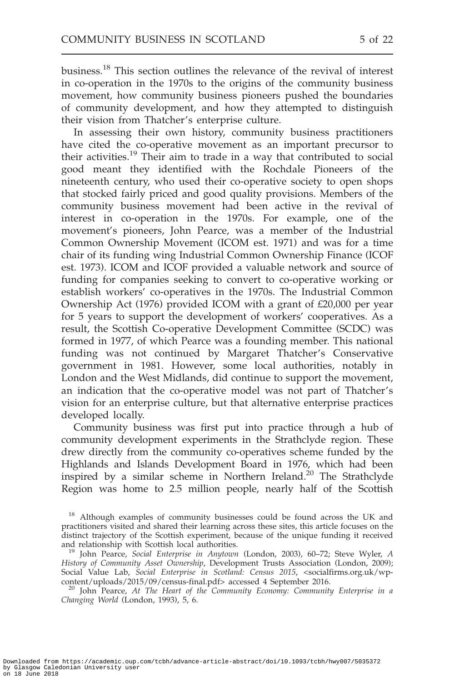business.<sup>18</sup> This section outlines the relevance of the revival of interest in co-operation in the 1970s to the origins of the community business movement, how community business pioneers pushed the boundaries of community development, and how they attempted to distinguish their vision from Thatcher's enterprise culture.

In assessing their own history, community business practitioners have cited the co-operative movement as an important precursor to their activities.<sup>19</sup> Their aim to trade in a way that contributed to social good meant they identified with the Rochdale Pioneers of the nineteenth century, who used their co-operative society to open shops that stocked fairly priced and good quality provisions. Members of the community business movement had been active in the revival of interest in co-operation in the 1970s. For example, one of the movement's pioneers, John Pearce, was a member of the Industrial Common Ownership Movement (ICOM est. 1971) and was for a time chair of its funding wing Industrial Common Ownership Finance (ICOF est. 1973). ICOM and ICOF provided a valuable network and source of funding for companies seeking to convert to co-operative working or establish workers' co-operatives in the 1970s. The Industrial Common Ownership Act (1976) provided ICOM with a grant of £20,000 per year for 5 years to support the development of workers' cooperatives. As a result, the Scottish Co-operative Development Committee (SCDC) was formed in 1977, of which Pearce was a founding member. This national funding was not continued by Margaret Thatcher's Conservative government in 1981. However, some local authorities, notably in London and the West Midlands, did continue to support the movement, an indication that the co-operative model was not part of Thatcher's vision for an enterprise culture, but that alternative enterprise practices developed locally.

Community business was first put into practice through a hub of community development experiments in the Strathclyde region. These drew directly from the community co-operatives scheme funded by the Highlands and Islands Development Board in 1976, which had been inspired by a similar scheme in Northern Ireland.<sup>20</sup> The Strathclyde Region was home to 2.5 million people, nearly half of the Scottish

<sup>20</sup> John Pearce, At The Heart of the Community Economy: Community Enterprise in a Changing World (London, 1993), 5, 6.

<sup>&</sup>lt;sup>18</sup> Although examples of community businesses could be found across the UK and practitioners visited and shared their learning across these sites, this article focuses on the distinct trajectory of the Scottish experiment, because of the unique funding it received

<sup>&</sup>lt;sup>19</sup> John Pearce, Social Enterprise in Anytown (London, 2003), 60–72; Steve Wyler, A History of Community Asset Ownership, Development Trusts Association (London, 2009); Social Value Lab, Social Enterprise in Scotland: Census 2015, <socialfirms.org.uk/wp-content/uploads/2015/09/census-final.pdf> accessed 4 September 2016.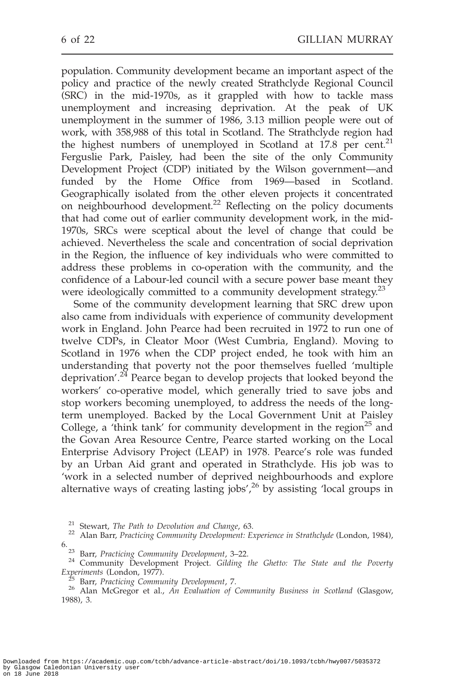population. Community development became an important aspect of the policy and practice of the newly created Strathclyde Regional Council (SRC) in the mid-1970s, as it grappled with how to tackle mass unemployment and increasing deprivation. At the peak of UK unemployment in the summer of 1986, 3.13 million people were out of work, with 358,988 of this total in Scotland. The Strathclyde region had the highest numbers of unemployed in Scotland at  $17.8$  per cent.<sup>21</sup> Ferguslie Park, Paisley, had been the site of the only Community Development Project (CDP) initiated by the Wilson government—and funded by the Home Office from 1969—based in Scotland. Geographically isolated from the other eleven projects it concentrated on neighbourhood development.<sup>22</sup> Reflecting on the policy documents that had come out of earlier community development work, in the mid-1970s, SRCs were sceptical about the level of change that could be achieved. Nevertheless the scale and concentration of social deprivation in the Region, the influence of key individuals who were committed to address these problems in co-operation with the community, and the confidence of a Labour-led council with a secure power base meant they were ideologically committed to a community development strategy.<sup>23</sup>

Some of the community development learning that SRC drew upon also came from individuals with experience of community development work in England. John Pearce had been recruited in 1972 to run one of twelve CDPs, in Cleator Moor (West Cumbria, England). Moving to Scotland in 1976 when the CDP project ended, he took with him an understanding that poverty not the poor themselves fuelled 'multiple deprivation'.<sup>24</sup> Pearce began to develop projects that looked beyond the workers' co-operative model, which generally tried to save jobs and stop workers becoming unemployed, to address the needs of the longterm unemployed. Backed by the Local Government Unit at Paisley College, a 'think tank' for community development in the region<sup>25</sup> and the Govan Area Resource Centre, Pearce started working on the Local Enterprise Advisory Project (LEAP) in 1978. Pearce's role was funded by an Urban Aid grant and operated in Strathclyde. His job was to 'work in a selected number of deprived neighbourhoods and explore alternative ways of creating lasting jobs',  $^{26}$  by assisting 'local groups in

<sup>21</sup> Stewart, The Path to Devolution and Change, 63.<br><sup>22</sup> Alan Barr, Practicing Community Development: Experience in Strathclyde (London, 1984),

6. <sup>23</sup> Barr, *Practicing Community Development*, 3–22.<br><sup>24</sup> Community Development Project. *Gilding the Ghetto: The State and the Poverty*<br>*Experiments* (London, 1977).

<sup>25</sup> Barr, Practicing Community Development, 7.<br><sup>26</sup> Alan McGregor et al., An Evaluation of Community Business in Scotland (Glasgow, 1988), 3.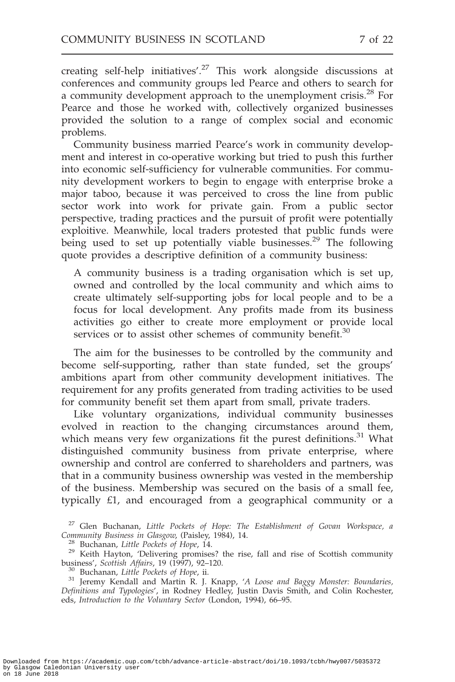creating self-help initiatives'.<sup>27</sup> This work alongside discussions at conferences and community groups led Pearce and others to search for a community development approach to the unemployment crisis.<sup>28</sup> For Pearce and those he worked with, collectively organized businesses provided the solution to a range of complex social and economic problems.

Community business married Pearce's work in community development and interest in co-operative working but tried to push this further into economic self-sufficiency for vulnerable communities. For community development workers to begin to engage with enterprise broke a major taboo, because it was perceived to cross the line from public sector work into work for private gain. From a public sector perspective, trading practices and the pursuit of profit were potentially exploitive. Meanwhile, local traders protested that public funds were being used to set up potentially viable businesses.<sup>29</sup> The following quote provides a descriptive definition of a community business:

A community business is a trading organisation which is set up, owned and controlled by the local community and which aims to create ultimately self-supporting jobs for local people and to be a focus for local development. Any profits made from its business activities go either to create more employment or provide local services or to assist other schemes of community benefit.<sup>30</sup>

The aim for the businesses to be controlled by the community and become self-supporting, rather than state funded, set the groups' ambitions apart from other community development initiatives. The requirement for any profits generated from trading activities to be used for community benefit set them apart from small, private traders.

Like voluntary organizations, individual community businesses evolved in reaction to the changing circumstances around them, which means very few organizations fit the purest definitions.<sup>31</sup> What distinguished community business from private enterprise, where ownership and control are conferred to shareholders and partners, was that in a community business ownership was vested in the membership of the business. Membership was secured on the basis of a small fee, typically £1, and encouraged from a geographical community or a

<sup>27</sup> Glen Buchanan, Little Pockets of Hope: The Establishment of Govan Workspace, a Community Business in Glasgow, (Paisley, 1984), 14.

<sup>28</sup> Buchanan, Little Pockets of Hope, 14.<br><sup>29</sup> Keith Hayton, 'Delivering promises? the rise, fall and rise of Scottish community business', *Scottish Affairs*, 19 (1997), 92–120.

 $\frac{30}{31}$  Buchanan, Little Pockets of Hope, ii.<br> $\frac{31}{31}$  Jeremy Kendall and Martin R. J. Knapp, 'A Loose and Baggy Monster: Boundaries, Definitions and Typologies', in Rodney Hedley, Justin Davis Smith, and Colin Rochester, eds, Introduction to the Voluntary Sector (London, 1994), 66–95.

Downloaded from https://academic.oup.com/tcbh/advance-article-abstract/doi/10.1093/tcbh/hwy007/5035372 by Glasgow Caledonian University user on 18 June 2018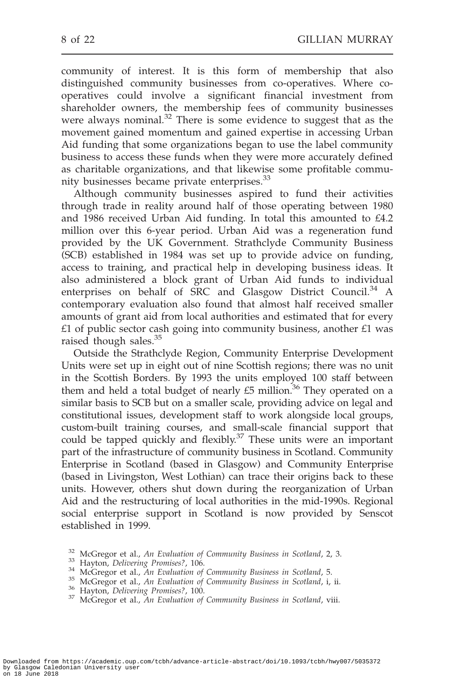community of interest. It is this form of membership that also distinguished community businesses from co-operatives. Where cooperatives could involve a significant financial investment from shareholder owners, the membership fees of community businesses were always nominal.<sup>32</sup> There is some evidence to suggest that as the movement gained momentum and gained expertise in accessing Urban Aid funding that some organizations began to use the label community business to access these funds when they were more accurately defined as charitable organizations, and that likewise some profitable community businesses became private enterprises.<sup>33</sup>

Although community businesses aspired to fund their activities through trade in reality around half of those operating between 1980 and 1986 received Urban Aid funding. In total this amounted to £4.2 million over this 6-year period. Urban Aid was a regeneration fund provided by the UK Government. Strathclyde Community Business (SCB) established in 1984 was set up to provide advice on funding, access to training, and practical help in developing business ideas. It also administered a block grant of Urban Aid funds to individual enterprises on behalf of SRC and Glasgow District Council.<sup>34</sup> A contemporary evaluation also found that almost half received smaller amounts of grant aid from local authorities and estimated that for every  $£1$  of public sector cash going into community business, another  $£1$  was raised though sales.<sup>35</sup>

Outside the Strathclyde Region, Community Enterprise Development Units were set up in eight out of nine Scottish regions; there was no unit in the Scottish Borders. By 1993 the units employed 100 staff between them and held a total budget of nearly  $£5$  million.<sup>36</sup> They operated on a similar basis to SCB but on a smaller scale, providing advice on legal and constitutional issues, development staff to work alongside local groups, custom-built training courses, and small-scale financial support that could be tapped quickly and flexibly.<sup>37</sup> These units were an important part of the infrastructure of community business in Scotland. Community Enterprise in Scotland (based in Glasgow) and Community Enterprise (based in Livingston, West Lothian) can trace their origins back to these units. However, others shut down during the reorganization of Urban Aid and the restructuring of local authorities in the mid-1990s. Regional social enterprise support in Scotland is now provided by Senscot established in 1999.

<sup>&</sup>lt;sup>32</sup> McGregor et al., *An Evaluation of Community Business in Scotland*, 2, 3.<br><sup>33</sup> Hayton, *Delivering Promises*?, 106.<br><sup>34</sup> McGregor et al., *An Evaluation of Community Business in Scotland*, 5.<br><sup>35</sup> McGregor et al., *A*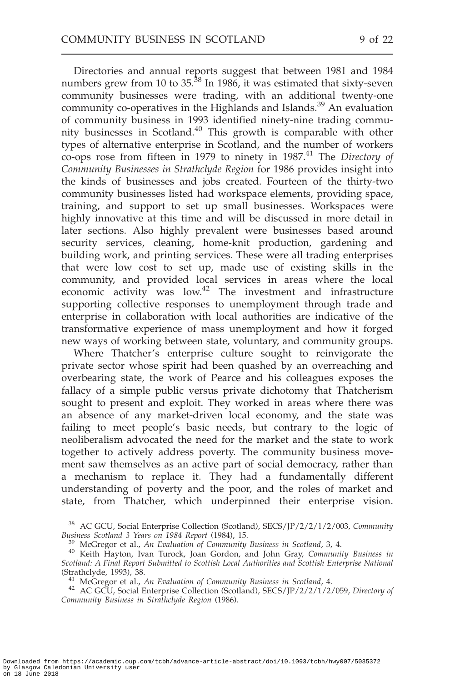Directories and annual reports suggest that between 1981 and 1984 numbers grew from 10 to  $35.^{38}$  In 1986, it was estimated that sixty-seven community businesses were trading, with an additional twenty-one community co-operatives in the Highlands and Islands.<sup>39</sup> An evaluation of community business in 1993 identified ninety-nine trading community businesses in Scotland.<sup>40</sup> This growth is comparable with other types of alternative enterprise in Scotland, and the number of workers co-ops rose from fifteen in 1979 to ninety in  $1987<sup>41</sup>$  The Directory of Community Businesses in Strathclyde Region for 1986 provides insight into the kinds of businesses and jobs created. Fourteen of the thirty-two community businesses listed had workspace elements, providing space, training, and support to set up small businesses. Workspaces were highly innovative at this time and will be discussed in more detail in later sections. Also highly prevalent were businesses based around security services, cleaning, home-knit production, gardening and building work, and printing services. These were all trading enterprises that were low cost to set up, made use of existing skills in the community, and provided local services in areas where the local economic activity was low.<sup>42</sup> The investment and infrastructure supporting collective responses to unemployment through trade and enterprise in collaboration with local authorities are indicative of the transformative experience of mass unemployment and how it forged new ways of working between state, voluntary, and community groups.

Where Thatcher's enterprise culture sought to reinvigorate the private sector whose spirit had been quashed by an overreaching and overbearing state, the work of Pearce and his colleagues exposes the fallacy of a simple public versus private dichotomy that Thatcherism sought to present and exploit. They worked in areas where there was an absence of any market-driven local economy, and the state was failing to meet people's basic needs, but contrary to the logic of neoliberalism advocated the need for the market and the state to work together to actively address poverty. The community business movement saw themselves as an active part of social democracy, rather than a mechanism to replace it. They had a fundamentally different understanding of poverty and the poor, and the roles of market and state, from Thatcher, which underpinned their enterprise vision.

<sup>&</sup>lt;sup>38</sup> AC GCU, Social Enterprise Collection (Scotland), SECS/JP/2/2/1/2/003, Community Business Scotland 3 Years on 1984 Report (1984), 15.

<sup>&</sup>lt;sup>39</sup> McGregor et al., An Evaluation of Community Business in Scotland, 3, 4.  $40$  Keith Hayton, Ivan Turock, Joan Gordon, and John Gray, Community Business in Scotland: A Final Report Submitted to Scottish Local Authorities and Scottish Enterprise National (Strathclyde, 1993), 38.

<sup>&</sup>lt;sup>41</sup> McGregor et al., An Evaluation of Community Business in Scotland, 4.  $^{42}$  AC GCU, Social Enterprise Collection (Scotland), SECS/JP/2/2/1/2/059, Directory of Community Business in Strathclyde Region (1986).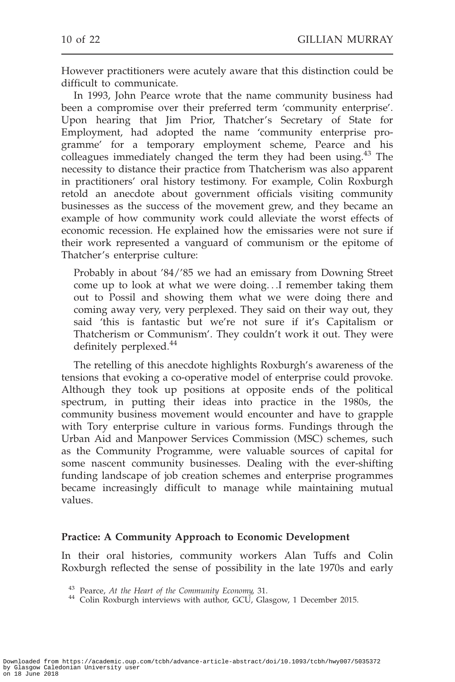However practitioners were acutely aware that this distinction could be difficult to communicate.

In 1993, John Pearce wrote that the name community business had been a compromise over their preferred term 'community enterprise'. Upon hearing that Jim Prior, Thatcher's Secretary of State for Employment, had adopted the name 'community enterprise programme' for a temporary employment scheme, Pearce and his colleagues immediately changed the term they had been using.<sup>43</sup> The necessity to distance their practice from Thatcherism was also apparent in practitioners' oral history testimony. For example, Colin Roxburgh retold an anecdote about government officials visiting community businesses as the success of the movement grew, and they became an example of how community work could alleviate the worst effects of economic recession. He explained how the emissaries were not sure if their work represented a vanguard of communism or the epitome of Thatcher's enterprise culture:

Probably in about '84/'85 we had an emissary from Downing Street come up to look at what we were doing...I remember taking them out to Possil and showing them what we were doing there and coming away very, very perplexed. They said on their way out, they said 'this is fantastic but we're not sure if it's Capitalism or Thatcherism or Communism'. They couldn't work it out. They were definitely perplexed.<sup>44</sup>

The retelling of this anecdote highlights Roxburgh's awareness of the tensions that evoking a co-operative model of enterprise could provoke. Although they took up positions at opposite ends of the political spectrum, in putting their ideas into practice in the 1980s, the community business movement would encounter and have to grapple with Tory enterprise culture in various forms. Fundings through the Urban Aid and Manpower Services Commission (MSC) schemes, such as the Community Programme, were valuable sources of capital for some nascent community businesses. Dealing with the ever-shifting funding landscape of job creation schemes and enterprise programmes became increasingly difficult to manage while maintaining mutual values.

#### Practice: A Community Approach to Economic Development

In their oral histories, community workers Alan Tuffs and Colin Roxburgh reflected the sense of possibility in the late 1970s and early

<sup>&</sup>lt;sup>43</sup> Pearce, At the Heart of the Community Economy, 31.<br><sup>44</sup> Colin Roxburgh interviews with author, GCU, Glasgow, 1 December 2015.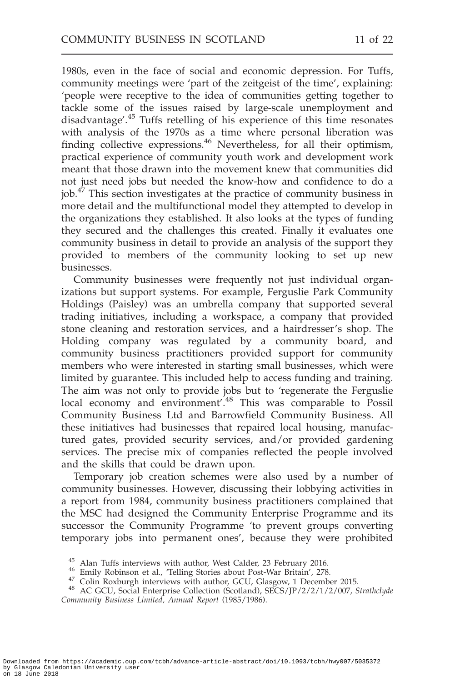1980s, even in the face of social and economic depression. For Tuffs, community meetings were 'part of the zeitgeist of the time', explaining: 'people were receptive to the idea of communities getting together to tackle some of the issues raised by large-scale unemployment and disadvantage'.<sup>45</sup> Tuffs retelling of his experience of this time resonates with analysis of the 1970s as a time where personal liberation was finding collective expressions.46 Nevertheless, for all their optimism, practical experience of community youth work and development work meant that those drawn into the movement knew that communities did not just need jobs but needed the know-how and confidence to do a job.<sup>47</sup> This section investigates at the practice of community business in more detail and the multifunctional model they attempted to develop in the organizations they established. It also looks at the types of funding they secured and the challenges this created. Finally it evaluates one community business in detail to provide an analysis of the support they provided to members of the community looking to set up new businesses.

Community businesses were frequently not just individual organizations but support systems. For example, Ferguslie Park Community Holdings (Paisley) was an umbrella company that supported several trading initiatives, including a workspace, a company that provided stone cleaning and restoration services, and a hairdresser's shop. The Holding company was regulated by a community board, and community business practitioners provided support for community members who were interested in starting small businesses, which were limited by guarantee. This included help to access funding and training. The aim was not only to provide jobs but to 'regenerate the Ferguslie local economy and environment<sup>'.48</sup> This was comparable to Possil Community Business Ltd and Barrowfield Community Business. All these initiatives had businesses that repaired local housing, manufactured gates, provided security services, and/or provided gardening services. The precise mix of companies reflected the people involved and the skills that could be drawn upon.

Temporary job creation schemes were also used by a number of community businesses. However, discussing their lobbying activities in a report from 1984, community business practitioners complained that the MSC had designed the Community Enterprise Programme and its successor the Community Programme 'to prevent groups converting temporary jobs into permanent ones', because they were prohibited

 $^{45}$  Alan Tuffs interviews with author, West Calder, 23 February 2016.<br> $^{46}$  Emily Robinson et al., 'Telling Stories about Post-War Britain', 278.<br> $^{47}$  Colin Roxburgh interviews with author, GCU, Glasgow, 1 December Community Business Limited, Annual Report (1985/1986).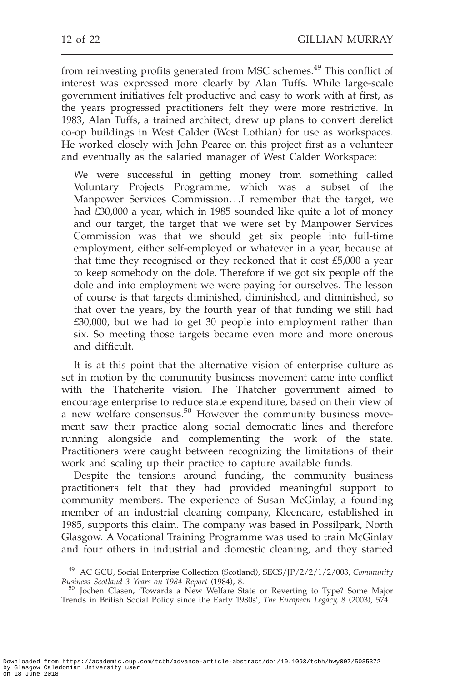from reinvesting profits generated from MSC schemes.<sup>49</sup> This conflict of interest was expressed more clearly by Alan Tuffs. While large-scale government initiatives felt productive and easy to work with at first, as the years progressed practitioners felt they were more restrictive. In 1983, Alan Tuffs, a trained architect, drew up plans to convert derelict co-op buildings in West Calder (West Lothian) for use as workspaces. He worked closely with John Pearce on this project first as a volunteer and eventually as the salaried manager of West Calder Workspace:

We were successful in getting money from something called Voluntary Projects Programme, which was a subset of the Manpower Services Commission...I remember that the target, we had £30,000 a year, which in 1985 sounded like quite a lot of money and our target, the target that we were set by Manpower Services Commission was that we should get six people into full-time employment, either self-employed or whatever in a year, because at that time they recognised or they reckoned that it cost £5,000 a year to keep somebody on the dole. Therefore if we got six people off the dole and into employment we were paying for ourselves. The lesson of course is that targets diminished, diminished, and diminished, so that over the years, by the fourth year of that funding we still had £30,000, but we had to get 30 people into employment rather than six. So meeting those targets became even more and more onerous and difficult.

It is at this point that the alternative vision of enterprise culture as set in motion by the community business movement came into conflict with the Thatcherite vision. The Thatcher government aimed to encourage enterprise to reduce state expenditure, based on their view of a new welfare consensus.<sup>50</sup> However the community business movement saw their practice along social democratic lines and therefore running alongside and complementing the work of the state. Practitioners were caught between recognizing the limitations of their work and scaling up their practice to capture available funds.

Despite the tensions around funding, the community business practitioners felt that they had provided meaningful support to community members. The experience of Susan McGinlay, a founding member of an industrial cleaning company, Kleencare, established in 1985, supports this claim. The company was based in Possilpark, North Glasgow. A Vocational Training Programme was used to train McGinlay and four others in industrial and domestic cleaning, and they started

<sup>50</sup> Jochen Clasen, 'Towards a New Welfare State or Reverting to Type? Some Major Trends in British Social Policy since the Early 1980s', The European Legacy, 8 (2003), 574.

<sup>&</sup>lt;sup>49</sup> AC GCU, Social Enterprise Collection (Scotland), SECS/JP/2/2/1/2/003, Community Business Scotland 3 Years on 1984 Report (1984), 8.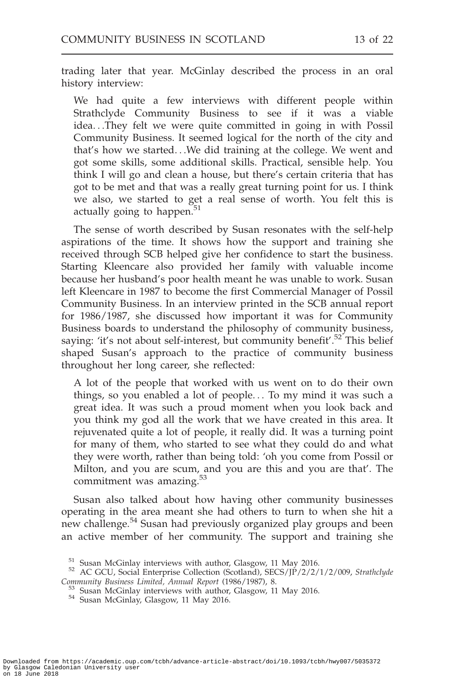trading later that year. McGinlay described the process in an oral history interview:

We had quite a few interviews with different people within Strathclyde Community Business to see if it was a viable idea...They felt we were quite committed in going in with Possil Community Business. It seemed logical for the north of the city and that's how we started...We did training at the college. We went and got some skills, some additional skills. Practical, sensible help. You think I will go and clean a house, but there's certain criteria that has got to be met and that was a really great turning point for us. I think we also, we started to get a real sense of worth. You felt this is actually going to happen. $51$ 

The sense of worth described by Susan resonates with the self-help aspirations of the time. It shows how the support and training she received through SCB helped give her confidence to start the business. Starting Kleencare also provided her family with valuable income because her husband's poor health meant he was unable to work. Susan left Kleencare in 1987 to become the first Commercial Manager of Possil Community Business. In an interview printed in the SCB annual report for 1986/1987, she discussed how important it was for Community Business boards to understand the philosophy of community business, saying: 'it's not about self-interest, but community benefit'.<sup>52</sup> This belief shaped Susan's approach to the practice of community business throughout her long career, she reflected:

A lot of the people that worked with us went on to do their own things, so you enabled a lot of people... To my mind it was such a great idea. It was such a proud moment when you look back and you think my god all the work that we have created in this area. It rejuvenated quite a lot of people, it really did. It was a turning point for many of them, who started to see what they could do and what they were worth, rather than being told: 'oh you come from Possil or Milton, and you are scum, and you are this and you are that'. The commitment was amazing.<sup>53</sup>

Susan also talked about how having other community businesses operating in the area meant she had others to turn to when she hit a new challenge.<sup>54</sup> Susan had previously organized play groups and been an active member of her community. The support and training she

<sup>&</sup>lt;sup>51</sup> Susan McGinlay interviews with author, Glasgow, 11 May 2016.<br><sup>52</sup> AC GCU, Social Enterprise Collection (Scotland), SECS/JP/2/2/1/2/009, *Strathclyde*<br>*Community Business Limited, Annual Report* (1986/1987), 8.

 $^{53}$  Susan McGinlay interviews with author, Glasgow, 11 May 2016.  $^{54}$  Susan McGinlay, Glasgow, 11 May 2016.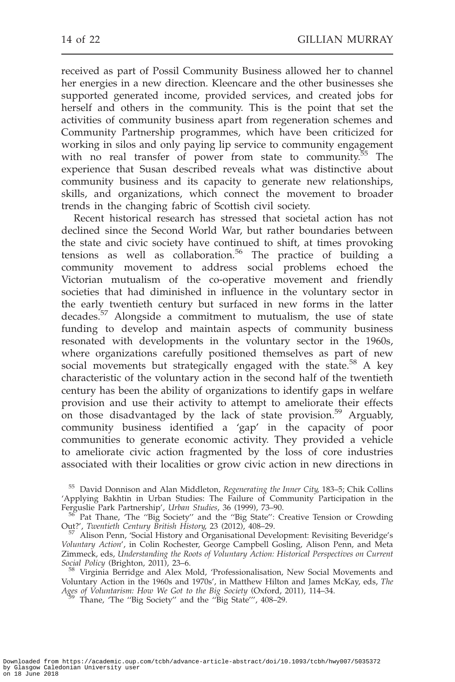received as part of Possil Community Business allowed her to channel her energies in a new direction. Kleencare and the other businesses she supported generated income, provided services, and created jobs for herself and others in the community. This is the point that set the activities of community business apart from regeneration schemes and Community Partnership programmes, which have been criticized for working in silos and only paying lip service to community engagement with no real transfer of power from state to community.<sup>55</sup> The experience that Susan described reveals what was distinctive about community business and its capacity to generate new relationships, skills, and organizations, which connect the movement to broader trends in the changing fabric of Scottish civil society.

Recent historical research has stressed that societal action has not declined since the Second World War, but rather boundaries between the state and civic society have continued to shift, at times provoking tensions as well as collaboration.<sup>56</sup> The practice of building a community movement to address social problems echoed the Victorian mutualism of the co-operative movement and friendly societies that had diminished in influence in the voluntary sector in the early twentieth century but surfaced in new forms in the latter decades.<sup>57</sup> Alongside a commitment to mutualism, the use of state funding to develop and maintain aspects of community business resonated with developments in the voluntary sector in the 1960s, where organizations carefully positioned themselves as part of new social movements but strategically engaged with the state.<sup>58</sup> A key characteristic of the voluntary action in the second half of the twentieth century has been the ability of organizations to identify gaps in welfare provision and use their activity to attempt to ameliorate their effects on those disadvantaged by the lack of state provision.<sup>59</sup> Arguably, community business identified a 'gap' in the capacity of poor communities to generate economic activity. They provided a vehicle to ameliorate civic action fragmented by the loss of core industries associated with their localities or grow civic action in new directions in

<sup>55</sup> David Donnison and Alan Middleton, Regenerating the Inner City, 183–5; Chik Collins 'Applying Bakhtin in Urban Studies: The Failure of Community Participation in the Ferguslie Park Partnership', Urban Studies, 36 (1999), 73–90.

 $56^{\circ}$  Pat Thane, 'The ''Big Society'' and the ''Big State'': Creative Tension or Crowding Out?', Twentieth Century British History, 23 (2012), 408–29.

<sup>57</sup> Alison Penn, 'Social History and Organisational Development: Revisiting Beveridge's Voluntary Action', in Colin Rochester, George Campbell Gosling, Alison Penn, and Meta Zimmeck, eds, Understanding the Roots of Voluntary Action: Historical Perspectives on Current Social Policy (Brighton, 2011), 23–6.

<sup>58</sup> Virginia Berridge and Alex Mold, 'Professionalisation, New Social Movements and Voluntary Action in the 1960s and 1970s', in Matthew Hilton and James McKay, eds, The Ages of Voluntarism: How We Got to the Big Society (Oxford, 2011), 114–34.

Thane, 'The "Big Society" and the "Big State"', 408–29.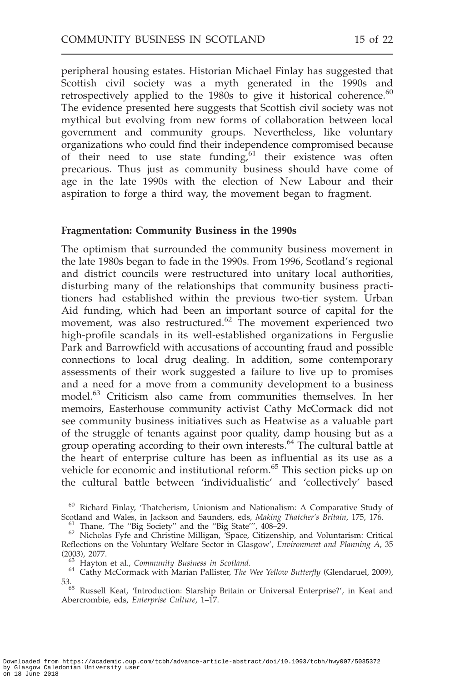peripheral housing estates. Historian Michael Finlay has suggested that Scottish civil society was a myth generated in the 1990s and retrospectively applied to the 1980s to give it historical coherence. $60$ The evidence presented here suggests that Scottish civil society was not mythical but evolving from new forms of collaboration between local government and community groups. Nevertheless, like voluntary organizations who could find their independence compromised because of their need to use state funding, $61$  their existence was often precarious. Thus just as community business should have come of age in the late 1990s with the election of New Labour and their aspiration to forge a third way, the movement began to fragment.

#### Fragmentation: Community Business in the 1990s

The optimism that surrounded the community business movement in the late 1980s began to fade in the 1990s. From 1996, Scotland's regional and district councils were restructured into unitary local authorities, disturbing many of the relationships that community business practitioners had established within the previous two-tier system. Urban Aid funding, which had been an important source of capital for the movement, was also restructured.<sup>62</sup> The movement experienced two high-profile scandals in its well-established organizations in Ferguslie Park and Barrowfield with accusations of accounting fraud and possible connections to local drug dealing. In addition, some contemporary assessments of their work suggested a failure to live up to promises and a need for a move from a community development to a business model.<sup>63</sup> Criticism also came from communities themselves. In her memoirs, Easterhouse community activist Cathy McCormack did not see community business initiatives such as Heatwise as a valuable part of the struggle of tenants against poor quality, damp housing but as a group operating according to their own interests.<sup>64</sup> The cultural battle at the heart of enterprise culture has been as influential as its use as a vehicle for economic and institutional reform.<sup>65</sup> This section picks up on the cultural battle between 'individualistic' and 'collectively' based

 $60$  Richard Finlay, 'Thatcherism, Unionism and Nationalism: A Comparative Study of Scotland and Wales, in Jackson and Saunders, eds, *Making Thatcher's Britain*, 175, 176.

<sup>63</sup> Hayton et al., *Community Business in Scotland*.<br><sup>64</sup> Cathy McCormack with Marian Pallister, *The Wee Yellow Butterfly* (Glendaruel, 2009),<br>53.

 $\frac{35}{65}$  Russell Keat, 'Introduction: Starship Britain or Universal Enterprise?', in Keat and Abercrombie, eds, Enterprise Culture, 1–17.

<sup>&</sup>lt;sup>61</sup> Thane, 'The "Big Society" and the "Big State"',  $408-\frac{2}{9}$ .<br><sup>62</sup> Nicholas Fyfe and Christine Milligan, 'Space, Citizenship, and Voluntarism: Critical Reflections on the Voluntary Welfare Sector in Glasgow', Environment and Planning A, 35 (2003), 2077.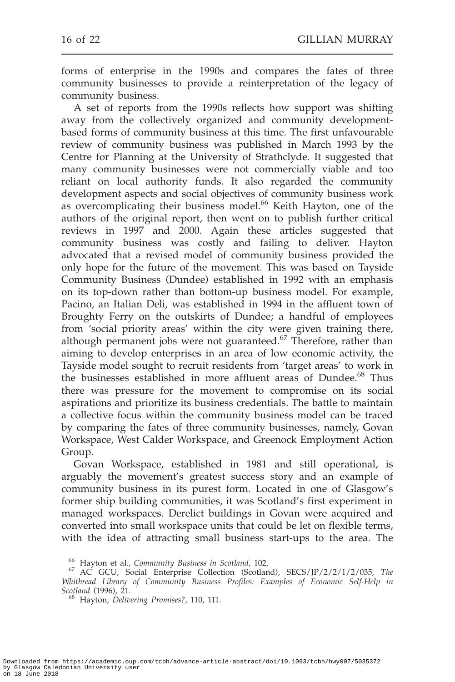forms of enterprise in the 1990s and compares the fates of three community businesses to provide a reinterpretation of the legacy of community business.

A set of reports from the 1990s reflects how support was shifting away from the collectively organized and community developmentbased forms of community business at this time. The first unfavourable review of community business was published in March 1993 by the Centre for Planning at the University of Strathclyde. It suggested that many community businesses were not commercially viable and too reliant on local authority funds. It also regarded the community development aspects and social objectives of community business work as overcomplicating their business model.<sup>66</sup> Keith Hayton, one of the authors of the original report, then went on to publish further critical reviews in 1997 and 2000. Again these articles suggested that community business was costly and failing to deliver. Hayton advocated that a revised model of community business provided the only hope for the future of the movement. This was based on Tayside Community Business (Dundee) established in 1992 with an emphasis on its top-down rather than bottom-up business model. For example, Pacino, an Italian Deli, was established in 1994 in the affluent town of Broughty Ferry on the outskirts of Dundee; a handful of employees from 'social priority areas' within the city were given training there, although permanent jobs were not guaranteed.<sup>67</sup> Therefore, rather than aiming to develop enterprises in an area of low economic activity, the Tayside model sought to recruit residents from 'target areas' to work in the businesses established in more affluent areas of Dundee.<sup>68</sup> Thus there was pressure for the movement to compromise on its social aspirations and prioritize its business credentials. The battle to maintain a collective focus within the community business model can be traced by comparing the fates of three community businesses, namely, Govan Workspace, West Calder Workspace, and Greenock Employment Action Group.

Govan Workspace, established in 1981 and still operational, is arguably the movement's greatest success story and an example of community business in its purest form. Located in one of Glasgow's former ship building communities, it was Scotland's first experiment in managed workspaces. Derelict buildings in Govan were acquired and converted into small workspace units that could be let on flexible terms, with the idea of attracting small business start-ups to the area. The

<sup>&</sup>lt;sup>66</sup> Hayton et al., *Community Business in Scotland*, 102.<br><sup>67</sup> AC GCU, Social Enterprise Collection (Scotland), SECS/JP/2/2/1/2/035, *The* Whitbread Library of Community Business Profiles: Examples of Economic Self-Help in

<sup>&</sup>lt;sup>68</sup> Hayton, Delivering Promises?, 110, 111.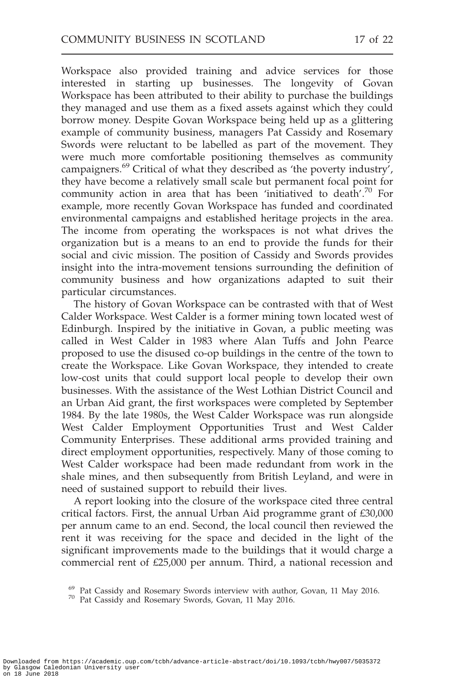Workspace also provided training and advice services for those interested in starting up businesses. The longevity of Govan Workspace has been attributed to their ability to purchase the buildings they managed and use them as a fixed assets against which they could borrow money. Despite Govan Workspace being held up as a glittering example of community business, managers Pat Cassidy and Rosemary Swords were reluctant to be labelled as part of the movement. They were much more comfortable positioning themselves as community campaigners.<sup>69</sup> Critical of what they described as 'the poverty industry', they have become a relatively small scale but permanent focal point for community action in area that has been 'initiatived to death'.<sup>70</sup> For example, more recently Govan Workspace has funded and coordinated environmental campaigns and established heritage projects in the area. The income from operating the workspaces is not what drives the organization but is a means to an end to provide the funds for their social and civic mission. The position of Cassidy and Swords provides insight into the intra-movement tensions surrounding the definition of community business and how organizations adapted to suit their particular circumstances.

The history of Govan Workspace can be contrasted with that of West Calder Workspace. West Calder is a former mining town located west of Edinburgh. Inspired by the initiative in Govan, a public meeting was called in West Calder in 1983 where Alan Tuffs and John Pearce proposed to use the disused co-op buildings in the centre of the town to create the Workspace. Like Govan Workspace, they intended to create low-cost units that could support local people to develop their own businesses. With the assistance of the West Lothian District Council and an Urban Aid grant, the first workspaces were completed by September 1984. By the late 1980s, the West Calder Workspace was run alongside West Calder Employment Opportunities Trust and West Calder Community Enterprises. These additional arms provided training and direct employment opportunities, respectively. Many of those coming to West Calder workspace had been made redundant from work in the shale mines, and then subsequently from British Leyland, and were in need of sustained support to rebuild their lives.

A report looking into the closure of the workspace cited three central critical factors. First, the annual Urban Aid programme grant of £30,000 per annum came to an end. Second, the local council then reviewed the rent it was receiving for the space and decided in the light of the significant improvements made to the buildings that it would charge a commercial rent of £25,000 per annum. Third, a national recession and

 $^{69}$  Pat Cassidy and Rosemary Swords interview with author, Govan, 11 May 2016.  $^{70}$  Pat Cassidy and Rosemary Swords, Govan, 11 May 2016.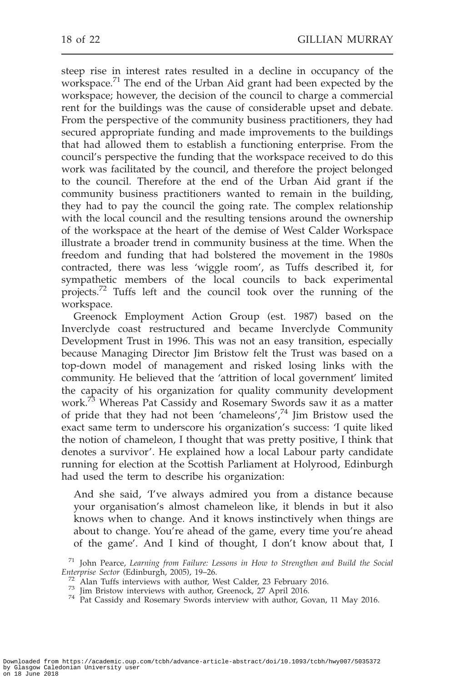steep rise in interest rates resulted in a decline in occupancy of the workspace.<sup>71</sup> The end of the Urban Aid grant had been expected by the workspace; however, the decision of the council to charge a commercial rent for the buildings was the cause of considerable upset and debate. From the perspective of the community business practitioners, they had secured appropriate funding and made improvements to the buildings that had allowed them to establish a functioning enterprise. From the council's perspective the funding that the workspace received to do this work was facilitated by the council, and therefore the project belonged to the council. Therefore at the end of the Urban Aid grant if the community business practitioners wanted to remain in the building, they had to pay the council the going rate. The complex relationship with the local council and the resulting tensions around the ownership of the workspace at the heart of the demise of West Calder Workspace illustrate a broader trend in community business at the time. When the freedom and funding that had bolstered the movement in the 1980s contracted, there was less 'wiggle room', as Tuffs described it, for sympathetic members of the local councils to back experimental projects.<sup>72</sup> Tuffs left and the council took over the running of the workspace.

Greenock Employment Action Group (est. 1987) based on the Inverclyde coast restructured and became Inverclyde Community Development Trust in 1996. This was not an easy transition, especially because Managing Director Jim Bristow felt the Trust was based on a top-down model of management and risked losing links with the community. He believed that the 'attrition of local government' limited the capacity of his organization for quality community development work.<sup>73</sup> Whereas Pat Cassidy and Rosemary Swords saw it as a matter of pride that they had not been 'chameleons',<sup>74</sup> Jim Bristow used the exact same term to underscore his organization's success: 'I quite liked the notion of chameleon, I thought that was pretty positive, I think that denotes a survivor'. He explained how a local Labour party candidate running for election at the Scottish Parliament at Holyrood, Edinburgh had used the term to describe his organization:

And she said, 'I've always admired you from a distance because your organisation's almost chameleon like, it blends in but it also knows when to change. And it knows instinctively when things are about to change. You're ahead of the game, every time you're ahead of the game'. And I kind of thought, I don't know about that, I

 $^{71}$  John Pearce, Learning from Failure: Lessons in How to Strengthen and Build the Social Enterprise Sector (Edinburgh, 2005), 19–26.

<sup>22</sup> Alan Tuffs interviews with author, West Calder, 23 February 2016.<br>
<sup>73</sup> Jim Bristow interviews with author, Greenock, 27 April 2016.<br>
<sup>74</sup> Pat Cassidy and Rosemary Swords interview with author, Govan, 11 May 2016.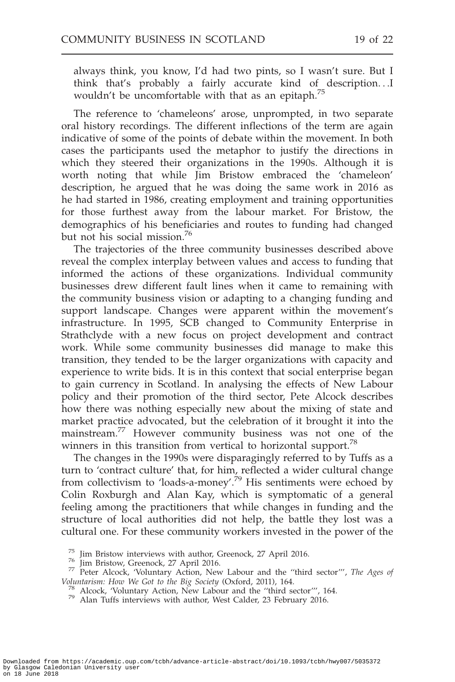always think, you know, I'd had two pints, so I wasn't sure. But I think that's probably a fairly accurate kind of description...I wouldn't be uncomfortable with that as an epitaph.<sup>75</sup>

The reference to 'chameleons' arose, unprompted, in two separate oral history recordings. The different inflections of the term are again indicative of some of the points of debate within the movement. In both cases the participants used the metaphor to justify the directions in which they steered their organizations in the 1990s. Although it is worth noting that while Jim Bristow embraced the 'chameleon' description, he argued that he was doing the same work in 2016 as he had started in 1986, creating employment and training opportunities for those furthest away from the labour market. For Bristow, the demographics of his beneficiaries and routes to funding had changed but not his social mission.<sup>76</sup>

The trajectories of the three community businesses described above reveal the complex interplay between values and access to funding that informed the actions of these organizations. Individual community businesses drew different fault lines when it came to remaining with the community business vision or adapting to a changing funding and support landscape. Changes were apparent within the movement's infrastructure. In 1995, SCB changed to Community Enterprise in Strathclyde with a new focus on project development and contract work. While some community businesses did manage to make this transition, they tended to be the larger organizations with capacity and experience to write bids. It is in this context that social enterprise began to gain currency in Scotland. In analysing the effects of New Labour policy and their promotion of the third sector, Pete Alcock describes how there was nothing especially new about the mixing of state and market practice advocated, but the celebration of it brought it into the mainstream.77 However community business was not one of the winners in this transition from vertical to horizontal support.<sup>78</sup>

The changes in the 1990s were disparagingly referred to by Tuffs as a turn to 'contract culture' that, for him, reflected a wider cultural change from collectivism to 'loads-a-money'.<sup>79</sup> His sentiments were echoed by Colin Roxburgh and Alan Kay, which is symptomatic of a general feeling among the practitioners that while changes in funding and the structure of local authorities did not help, the battle they lost was a cultural one. For these community workers invested in the power of the

<sup>&</sup>lt;sup>75</sup> Jim Bristow interviews with author, Greenock, 27 April 2016.<br><sup>76</sup> Jim Bristow, Greenock, 27 April 2016.<br><sup>77</sup> Peter Alcock, 'Voluntary Action, New Labour and the "third sector"', *The Ages of*<br>Voluntarism: How We Got

The Alcock, 'Voluntary Action, New Labour and the "third sector"', 164.  $\frac{78}{79}$  Alan Tuffs interviews with author, West Calder, 23 February 2016.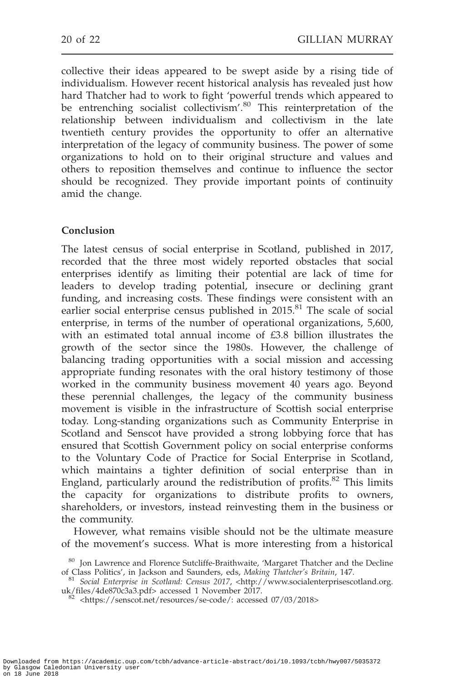collective their ideas appeared to be swept aside by a rising tide of individualism. However recent historical analysis has revealed just how hard Thatcher had to work to fight 'powerful trends which appeared to be entrenching socialist collectivism'. $80$  This reinterpretation of the relationship between individualism and collectivism in the late twentieth century provides the opportunity to offer an alternative interpretation of the legacy of community business. The power of some organizations to hold on to their original structure and values and others to reposition themselves and continue to influence the sector should be recognized. They provide important points of continuity amid the change.

### Conclusion

The latest census of social enterprise in Scotland, published in 2017, recorded that the three most widely reported obstacles that social enterprises identify as limiting their potential are lack of time for leaders to develop trading potential, insecure or declining grant funding, and increasing costs. These findings were consistent with an earlier social enterprise census published in  $2015$ <sup>81</sup> The scale of social enterprise, in terms of the number of operational organizations, 5,600, with an estimated total annual income of £3.8 billion illustrates the growth of the sector since the 1980s. However, the challenge of balancing trading opportunities with a social mission and accessing appropriate funding resonates with the oral history testimony of those worked in the community business movement 40 years ago. Beyond these perennial challenges, the legacy of the community business movement is visible in the infrastructure of Scottish social enterprise today. Long-standing organizations such as Community Enterprise in Scotland and Senscot have provided a strong lobbying force that has ensured that Scottish Government policy on social enterprise conforms to the Voluntary Code of Practice for Social Enterprise in Scotland, which maintains a tighter definition of social enterprise than in England, particularly around the redistribution of profits. $82$  This limits the capacity for organizations to distribute profits to owners, shareholders, or investors, instead reinvesting them in the business or the community.

However, what remains visible should not be the ultimate measure of the movement's success. What is more interesting from a historical

 $80$  Jon Lawrence and Florence Sutcliffe-Braithwaite, 'Margaret Thatcher and the Decline of Class Politics', in Jackson and Saunders, eds, *Making Thatcher's Britain*, 147.

 $\frac{1}{100}$  Class Politics', in Scotland: Census 2017,  $\frac{1}{100}$ ,  $\frac{1}{100}$ ,  $\frac{1}{100}$ ,  $\frac{1}{100}$ ,  $\frac{1}{100}$ ,  $\frac{1}{100}$ ,  $\frac{1}{100}$ ,  $\frac{1}{100}$ ,  $\frac{1}{100}$ ,  $\frac{1}{100}$ ,  $\frac{1}{100}$ ,  $\frac{1}{100}$ ,  $\frac{1}{100}$ 

[<sup>&</sup>lt;https://senscot.net/resources/se-code/: accessed 07/03/2018](https://senscot.net/resources/se-code/:accessed07/03/2018)>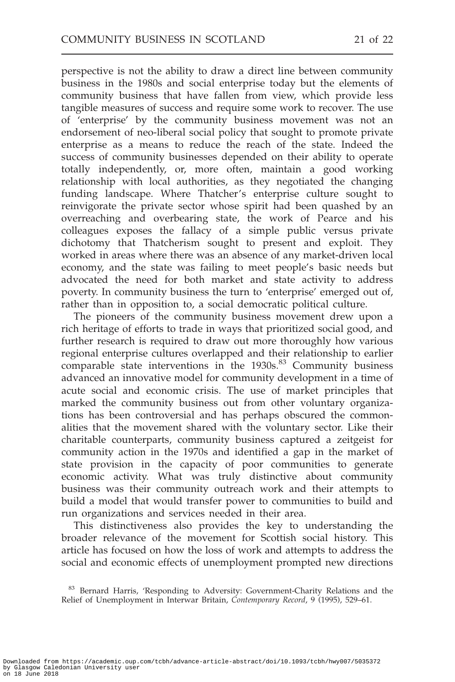perspective is not the ability to draw a direct line between community business in the 1980s and social enterprise today but the elements of community business that have fallen from view, which provide less tangible measures of success and require some work to recover. The use of 'enterprise' by the community business movement was not an endorsement of neo-liberal social policy that sought to promote private enterprise as a means to reduce the reach of the state. Indeed the success of community businesses depended on their ability to operate totally independently, or, more often, maintain a good working relationship with local authorities, as they negotiated the changing funding landscape. Where Thatcher's enterprise culture sought to reinvigorate the private sector whose spirit had been quashed by an overreaching and overbearing state, the work of Pearce and his colleagues exposes the fallacy of a simple public versus private dichotomy that Thatcherism sought to present and exploit. They worked in areas where there was an absence of any market-driven local economy, and the state was failing to meet people's basic needs but advocated the need for both market and state activity to address poverty. In community business the turn to 'enterprise' emerged out of, rather than in opposition to, a social democratic political culture.

The pioneers of the community business movement drew upon a rich heritage of efforts to trade in ways that prioritized social good, and further research is required to draw out more thoroughly how various regional enterprise cultures overlapped and their relationship to earlier comparable state interventions in the  $1930s$ .<sup>83</sup> Community business advanced an innovative model for community development in a time of acute social and economic crisis. The use of market principles that marked the community business out from other voluntary organizations has been controversial and has perhaps obscured the commonalities that the movement shared with the voluntary sector. Like their charitable counterparts, community business captured a zeitgeist for community action in the 1970s and identified a gap in the market of state provision in the capacity of poor communities to generate economic activity. What was truly distinctive about community business was their community outreach work and their attempts to build a model that would transfer power to communities to build and run organizations and services needed in their area.

This distinctiveness also provides the key to understanding the broader relevance of the movement for Scottish social history. This article has focused on how the loss of work and attempts to address the social and economic effects of unemployment prompted new directions

<sup>83</sup> Bernard Harris, 'Responding to Adversity: Government-Charity Relations and the Relief of Unemployment in Interwar Britain, Contemporary Record, 9 (1995), 529–61.